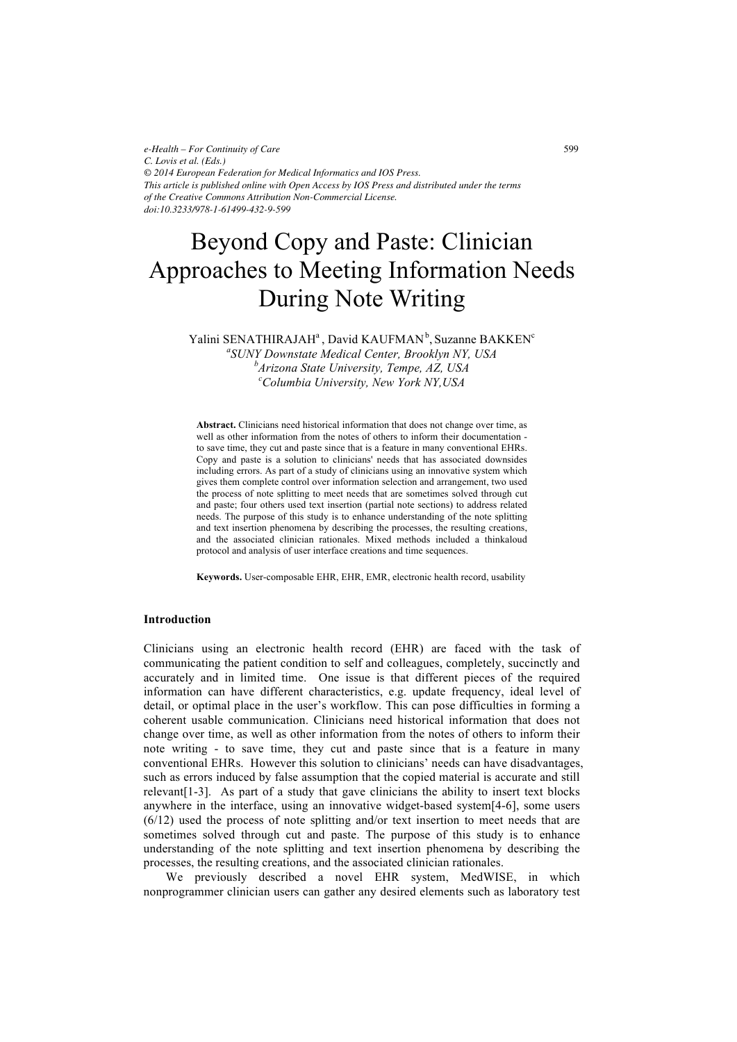*e-Health – For Continuity of Care C. Lovis et al. (Eds.) © 2014 European Federation for Medical Informatics and IOS Press. This article is published online with Open Access by IOS Press and distributed under the terms of the Creative Commons Attribution Non-Commercial License. doi:10.3233/978-1-61499-432-9-599*

# Beyond Copy and Paste: Clinician Approaches to Meeting Information Needs During Note Writing

Yalini SENATHIRAJAH<sup>a</sup>, David KAUFMAN<sup>b</sup>, Suzanne BAKKEN<sup>c</sup>

*a SUNY Downstate Medical Center, Brooklyn NY, USA b Arizona State University, Tempe, AZ, USA <sup>c</sup> Columbia University, New York NY,USA*

**Abstract.** Clinicians need historical information that does not change over time, as well as other information from the notes of others to inform their documentation to save time, they cut and paste since that is a feature in many conventional EHRs. Copy and paste is a solution to clinicians' needs that has associated downsides including errors. As part of a study of clinicians using an innovative system which gives them complete control over information selection and arrangement, two used the process of note splitting to meet needs that are sometimes solved through cut and paste; four others used text insertion (partial note sections) to address related needs. The purpose of this study is to enhance understanding of the note splitting and text insertion phenomena by describing the processes, the resulting creations, and the associated clinician rationales. Mixed methods included a thinkaloud protocol and analysis of user interface creations and time sequences.

**Keywords.** User-composable EHR, EHR, EMR, electronic health record, usability

## **Introduction**

Clinicians using an electronic health record (EHR) are faced with the task of communicating the patient condition to self and colleagues, completely, succinctly and accurately and in limited time. One issue is that different pieces of the required information can have different characteristics, e.g. update frequency, ideal level of detail, or optimal place in the user's workflow. This can pose difficulties in forming a coherent usable communication. Clinicians need historical information that does not change over time, as well as other information from the notes of others to inform their note writing - to save time, they cut and paste since that is a feature in many conventional EHRs. However this solution to clinicians' needs can have disadvantages, such as errors induced by false assumption that the copied material is accurate and still relevant[1-3]. As part of a study that gave clinicians the ability to insert text blocks anywhere in the interface, using an innovative widget-based system[4-6], some users (6/12) used the process of note splitting and/or text insertion to meet needs that are sometimes solved through cut and paste. The purpose of this study is to enhance understanding of the note splitting and text insertion phenomena by describing the processes, the resulting creations, and the associated clinician rationales.

We previously described a novel EHR system, MedWISE, in which nonprogrammer clinician users can gather any desired elements such as laboratory test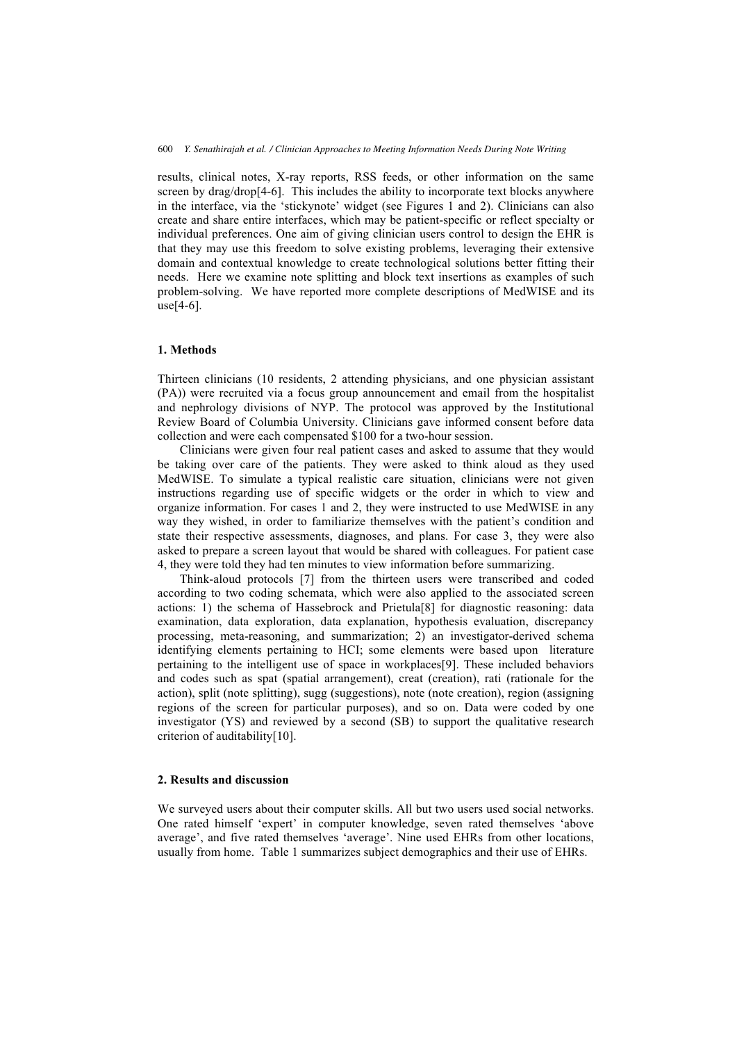results, clinical notes, X-ray reports, RSS feeds, or other information on the same screen by drag/drop[4-6]. This includes the ability to incorporate text blocks anywhere in the interface, via the 'stickynote' widget (see Figures 1 and 2). Clinicians can also create and share entire interfaces, which may be patient-specific or reflect specialty or individual preferences. One aim of giving clinician users control to design the EHR is that they may use this freedom to solve existing problems, leveraging their extensive domain and contextual knowledge to create technological solutions better fitting their needs. Here we examine note splitting and block text insertions as examples of such problem-solving. We have reported more complete descriptions of MedWISE and its  $use[4-6]$ .

# **1. Methods**

Thirteen clinicians (10 residents, 2 attending physicians, and one physician assistant (PA)) were recruited via a focus group announcement and email from the hospitalist and nephrology divisions of NYP. The protocol was approved by the Institutional Review Board of Columbia University. Clinicians gave informed consent before data collection and were each compensated \$100 for a two-hour session.

Clinicians were given four real patient cases and asked to assume that they would be taking over care of the patients. They were asked to think aloud as they used MedWISE. To simulate a typical realistic care situation, clinicians were not given instructions regarding use of specific widgets or the order in which to view and organize information. For cases 1 and 2, they were instructed to use MedWISE in any way they wished, in order to familiarize themselves with the patient's condition and state their respective assessments, diagnoses, and plans. For case 3, they were also asked to prepare a screen layout that would be shared with colleagues. For patient case 4, they were told they had ten minutes to view information before summarizing.

Think-aloud protocols [7] from the thirteen users were transcribed and coded according to two coding schemata, which were also applied to the associated screen actions: 1) the schema of Hassebrock and Prietula[8] for diagnostic reasoning: data examination, data exploration, data explanation, hypothesis evaluation, discrepancy processing, meta-reasoning, and summarization; 2) an investigator-derived schema identifying elements pertaining to HCI; some elements were based upon literature pertaining to the intelligent use of space in workplaces[9]. These included behaviors and codes such as spat (spatial arrangement), creat (creation), rati (rationale for the action), split (note splitting), sugg (suggestions), note (note creation), region (assigning regions of the screen for particular purposes), and so on. Data were coded by one investigator (YS) and reviewed by a second (SB) to support the qualitative research criterion of auditability[10].

#### **2. Results and discussion**

We surveyed users about their computer skills. All but two users used social networks. One rated himself 'expert' in computer knowledge, seven rated themselves 'above average', and five rated themselves 'average'. Nine used EHRs from other locations, usually from home. Table 1 summarizes subject demographics and their use of EHRs.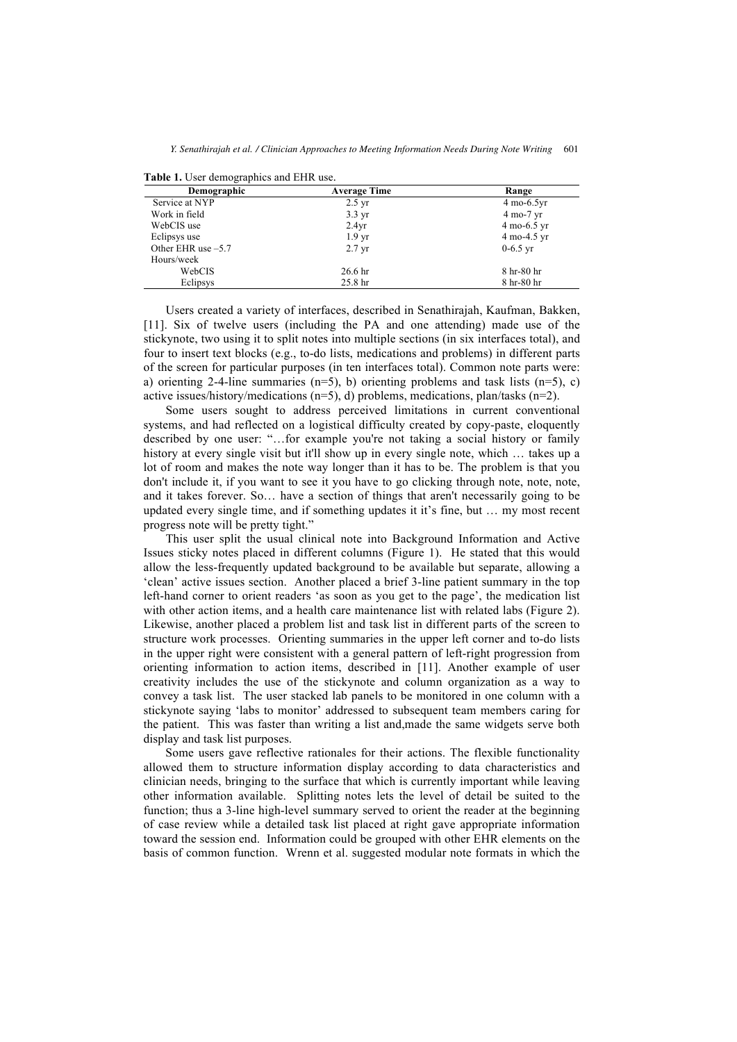| Demographic          | <b>Average Time</b> | Range                         |
|----------------------|---------------------|-------------------------------|
| Service at NYP       | $2.5 \text{ yr}$    | $4 \text{ mo-}6.5 \text{yr}$  |
| Work in field        | $3.3 \text{ yr}$    | 4 mo-7 yr                     |
| WebCIS use           | 2.4yr               | $4 \text{ mo-}6.5 \text{ yr}$ |
| Eclipsys use         | 1.9 <sub>yr</sub>   | 4 mo-4.5 yr                   |
| Other EHR use $-5.7$ | $2.7 \text{ yr}$    | $0-6.5$ yr                    |
| Hours/week           |                     |                               |
| WebCIS               | 26.6 <sub>hr</sub>  | 8 hr-80 hr                    |
| Eclipsys             | 25.8 <sub>hr</sub>  | 8 hr-80 hr                    |

**Table 1.** User demographics and EHR use.

Users created a variety of interfaces, described in Senathirajah, Kaufman, Bakken, [11]. Six of twelve users (including the PA and one attending) made use of the stickynote, two using it to split notes into multiple sections (in six interfaces total), and four to insert text blocks (e.g., to-do lists, medications and problems) in different parts of the screen for particular purposes (in ten interfaces total). Common note parts were: a) orienting 2-4-line summaries (n=5), b) orienting problems and task lists (n=5), c) active issues/history/medications (n=5), d) problems, medications, plan/tasks (n=2).

Some users sought to address perceived limitations in current conventional systems, and had reflected on a logistical difficulty created by copy-paste, eloquently described by one user: "…for example you're not taking a social history or family history at every single visit but it'll show up in every single note, which … takes up a lot of room and makes the note way longer than it has to be. The problem is that you don't include it, if you want to see it you have to go clicking through note, note, note, and it takes forever. So… have a section of things that aren't necessarily going to be updated every single time, and if something updates it it's fine, but … my most recent progress note will be pretty tight."

This user split the usual clinical note into Background Information and Active Issues sticky notes placed in different columns (Figure 1). He stated that this would allow the less-frequently updated background to be available but separate, allowing a 'clean' active issues section. Another placed a brief 3-line patient summary in the top left-hand corner to orient readers 'as soon as you get to the page', the medication list with other action items, and a health care maintenance list with related labs (Figure 2). Likewise, another placed a problem list and task list in different parts of the screen to structure work processes. Orienting summaries in the upper left corner and to-do lists in the upper right were consistent with a general pattern of left-right progression from orienting information to action items, described in [11]. Another example of user creativity includes the use of the stickynote and column organization as a way to convey a task list. The user stacked lab panels to be monitored in one column with a stickynote saying 'labs to monitor' addressed to subsequent team members caring for the patient. This was faster than writing a list and,made the same widgets serve both display and task list purposes.

Some users gave reflective rationales for their actions. The flexible functionality allowed them to structure information display according to data characteristics and clinician needs, bringing to the surface that which is currently important while leaving other information available. Splitting notes lets the level of detail be suited to the function; thus a 3-line high-level summary served to orient the reader at the beginning of case review while a detailed task list placed at right gave appropriate information toward the session end. Information could be grouped with other EHR elements on the basis of common function. Wrenn et al. suggested modular note formats in which the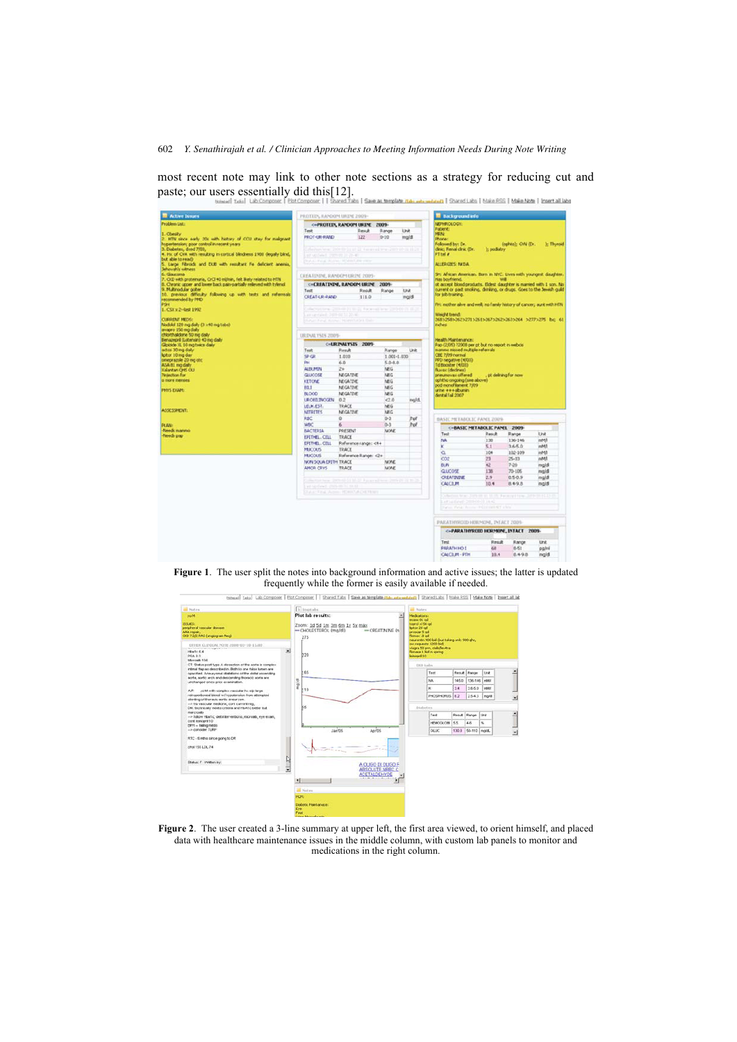most recent note may link to other note sections as a strategy for reducing cut and paste; our users essentially did this[12].



**Figure 1**. The user split the notes into background information and active issues; the latter is updated frequently while the former is easily available if needed.



| <b>All Nation</b>                                                                                                                          | G Inset also                                                                                                                                   | all rotes                                                                                                                                                                      |                    |         |      |  |
|--------------------------------------------------------------------------------------------------------------------------------------------|------------------------------------------------------------------------------------------------------------------------------------------------|--------------------------------------------------------------------------------------------------------------------------------------------------------------------------------|--------------------|---------|------|--|
| yo M<br>199.8%<br>perpheral vascular doeses<br><b>AAA</b> repair.<br>CKD 7 2/2 RAS (anglogram Neg)<br>OTHER GLINICAL NOTE 2008-03-10-15.00 | Plot lab results:<br>Zoom: 1d Sd 1m 3m 6m 1x 5x max<br>-CHOLESTEROL (mg/dl)<br>$-CREATININE$ (n)<br>275                                        | <b>Medications:</b><br>ecasa 81 gd<br>toprol xl 50 gd.<br>leitor 20 gd<br>proscar 5 od<br>Fremax, 8 od<br>neurontin 900 bid (but taking only 900 ghs,<br>ow requests 1200 bid) |                    |         |      |  |
| <b>CONTRACTOR</b><br>Hostc 6.4<br>PSA03<br>Microsib 104<br>CT: Status post type A dissection of the aorts is complex                       | 츼<br>220                                                                                                                                       | viagra 50 pm, cialisfevitra<br>floriase 1 bid in spring<br>Isingeri 10<br><b>EXID Labs</b>                                                                                     |                    |         |      |  |
| intimal fing as described in. Both to one take lumen are<br>opacified. Anounysmal dilatations of the distal ascending                      | 165                                                                                                                                            | <b>Test</b>                                                                                                                                                                    | Result Bancer      |         | Link |  |
| sorts, sortic arch and descending thoracic sorts are<br>unchanged since prior examination.                                                 |                                                                                                                                                | NA.                                                                                                                                                                            | 145.0              | 136-146 | make |  |
| AP:<br>zo M with complex vaccular for nit forget                                                                                           | mg/di<br>110                                                                                                                                   | ĸ                                                                                                                                                                              | 3.4                | 3.6-5.0 | maat |  |
| retropertoneal bleed w/hypotension from attempted<br>stenting of thoracic aortic aneurysm.                                                 |                                                                                                                                                | <b>PHOSPHORUS 8.2</b>                                                                                                                                                          |                    | 2543    | most |  |
| -> tlu vascular niedcine, cort current reg.<br>DM, technically meets criteria and HbA1c better but                                         | 55                                                                                                                                             | Distortes                                                                                                                                                                      |                    |         |      |  |
| marcroak-<br>-- tolow Hastc; det interventions, microalb, eye exam,                                                                        |                                                                                                                                                | Test                                                                                                                                                                           | Renut Range        |         | ting |  |
| cont lisinopri 10<br>EFH -- falling medis                                                                                                  |                                                                                                                                                | HEMODLOBE 5.5                                                                                                                                                                  | 4.8                |         | ×    |  |
| -- + consider TURP                                                                                                                         | April 5<br>Jan'05                                                                                                                              | <b>OLUC</b>                                                                                                                                                                    | 130.0 50-110 most. |         |      |  |
| RTC - 6 mths since going to DR<br>chol 155 LDL 74<br>Status: F .: VA then by:                                                              | Ŋ<br>A OLIGO DI OLIGO F<br>$\overline{\mathbf{r}}$                                                                                             |                                                                                                                                                                                |                    |         |      |  |
|                                                                                                                                            | ABSOLUTE NRBC C<br><b>ACETALDEHYDE</b><br>٠<br>٠<br><b>Notes</b><br><b>HOM</b><br>Diabetic Maintainace:<br>Eye<br>Foot<br>and the state of the |                                                                                                                                                                                |                    |         |      |  |

**Figure 2**. The user created a 3-line summary at upper left, the first area viewed, to orient himself, and placed data with healthcare maintenance issues in the middle column, with custom lab panels to monitor and medications in the right column.